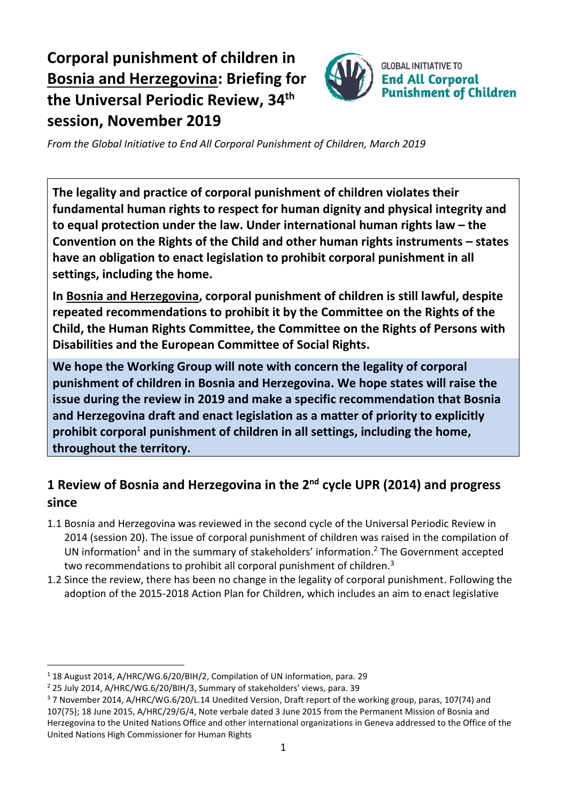# **Corporal punishment of children in Bosnia and Herzegovina: Briefing for the Universal Periodic Review, 34 th session, November 2019**



*From the Global Initiative to End All Corporal Punishment of Children, March 2019*

**The legality and practice of corporal punishment of children violates their fundamental human rights to respect for human dignity and physical integrity and to equal protection under the law. Under international human rights law – the Convention on the Rights of the Child and other human rights instruments – states have an obligation to enact legislation to prohibit corporal punishment in all settings, including the home.**

**In Bosnia and Herzegovina, corporal punishment of children is still lawful, despite repeated recommendations to prohibit it by the Committee on the Rights of the Child, the Human Rights Committee, the Committee on the Rights of Persons with Disabilities and the European Committee of Social Rights.**

**We hope the Working Group will note with concern the legality of corporal punishment of children in Bosnia and Herzegovina. We hope states will raise the issue during the review in 2019 and make a specific recommendation that Bosnia and Herzegovina draft and enact legislation as a matter of priority to explicitly prohibit corporal punishment of children in all settings, including the home, throughout the territory.**

# **1 Review of Bosnia and Herzegovina in the 2nd cycle UPR (2014) and progress since**

- 1.1 Bosnia and Herzegovina was reviewed in the second cycle of the Universal Periodic Review in 2014 (session 20). The issue of corporal punishment of children was raised in the compilation of UN information<sup>1</sup> and in the summary of stakeholders' information.<sup>2</sup> The Government accepted two recommendations to prohibit all corporal punishment of children.<sup>3</sup>
- 1.2 Since the review, there has been no change in the legality of corporal punishment. Following the adoption of the 2015-2018 Action Plan for Children, which includes an aim to enact legislative

<sup>&</sup>lt;sup>1</sup> 18 August 2014, A/HRC/WG.6/20/BIH/2, Compilation of UN information, para. 29

<sup>2</sup> 25 July 2014, A/HRC/WG.6/20/BIH/3, Summary of stakeholders' views, para. 39

<sup>3</sup> 7 November 2014, A/HRC/WG.6/20/L.14 Unedited Version, Draft report of the working group, paras, 107(74) and 107(75); 18 June 2015, A/HRC/29/G/4, Note verbale dated 3 June 2015 from the Permanent Mission of Bosnia and Herzegovina to the United Nations Office and other international organizations in Geneva addressed to the Office of the United Nations High Commissioner for Human Rights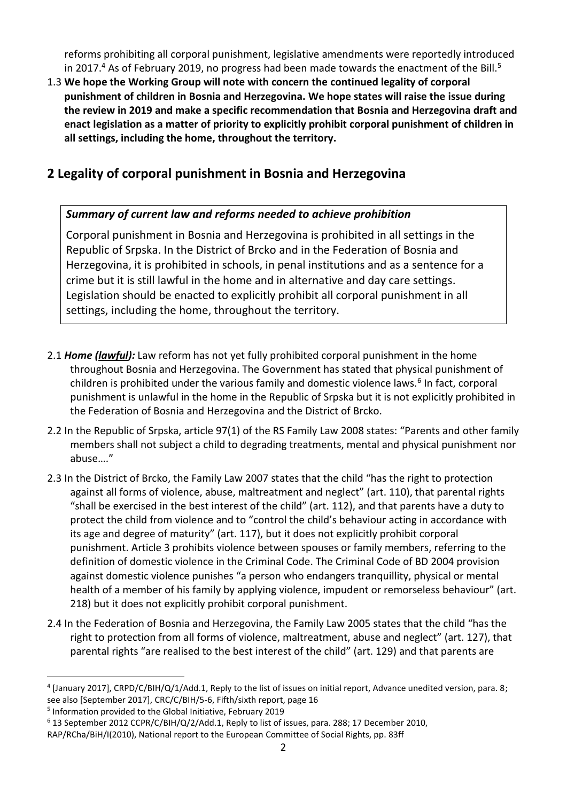reforms prohibiting all corporal punishment, legislative amendments were reportedly introduced in 2017.<sup>4</sup> As of February 2019, no progress had been made towards the enactment of the Bill.<sup>5</sup>

1.3 **We hope the Working Group will note with concern the continued legality of corporal punishment of children in Bosnia and Herzegovina. We hope states will raise the issue during the review in 2019 and make a specific recommendation that Bosnia and Herzegovina draft and enact legislation as a matter of priority to explicitly prohibit corporal punishment of children in all settings, including the home, throughout the territory.**

### **2 Legality of corporal punishment in Bosnia and Herzegovina**

#### *Summary of current law and reforms needed to achieve prohibition*

Corporal punishment in Bosnia and Herzegovina is prohibited in all settings in the Republic of Srpska. In the District of Brcko and in the Federation of Bosnia and Herzegovina, it is prohibited in schools, in penal institutions and as a sentence for a crime but it is still lawful in the home and in alternative and day care settings. Legislation should be enacted to explicitly prohibit all corporal punishment in all settings, including the home, throughout the territory.

- 2.1 *Home (lawful):* Law reform has not yet fully prohibited corporal punishment in the home throughout Bosnia and Herzegovina. The Government has stated that physical punishment of children is prohibited under the various family and domestic violence laws.<sup>6</sup> In fact, corporal punishment is unlawful in the home in the Republic of Srpska but it is not explicitly prohibited in the Federation of Bosnia and Herzegovina and the District of Brcko.
- 2.2 In the Republic of Srpska, article 97(1) of the RS Family Law 2008 states: "Parents and other family members shall not subject a child to degrading treatments, mental and physical punishment nor abuse…."
- 2.3 In the District of Brcko, the Family Law 2007 states that the child "has the right to protection against all forms of violence, abuse, maltreatment and neglect" (art. 110), that parental rights "shall be exercised in the best interest of the child" (art. 112), and that parents have a duty to protect the child from violence and to "control the child's behaviour acting in accordance with its age and degree of maturity" (art. 117), but it does not explicitly prohibit corporal punishment. Article 3 prohibits violence between spouses or family members, referring to the definition of domestic violence in the Criminal Code. The Criminal Code of BD 2004 provision against domestic violence punishes "a person who endangers tranquillity, physical or mental health of a member of his family by applying violence, impudent or remorseless behaviour" (art. 218) but it does not explicitly prohibit corporal punishment.
- 2.4 In the Federation of Bosnia and Herzegovina, the Family Law 2005 states that the child "has the right to protection from all forms of violence, maltreatment, abuse and neglect" (art. 127), that parental rights "are realised to the best interest of the child" (art. 129) and that parents are

<sup>4</sup> [January 2017], CRPD/C/BIH/Q/1/Add.1, Reply to the list of issues on initial report, Advance unedited version, para. 8; see also [September 2017], CRC/C/BIH/5-6, Fifth/sixth report, page 16

<sup>&</sup>lt;sup>5</sup> Information provided to the Global Initiative, February 2019

<sup>6</sup> 13 September 2012 CCPR/C/BIH/Q/2/Add.1, Reply to list of issues, para. 288; 17 December 2010,

RAP/RCha/BiH/I(2010), National report to the European Committee of Social Rights, pp. 83ff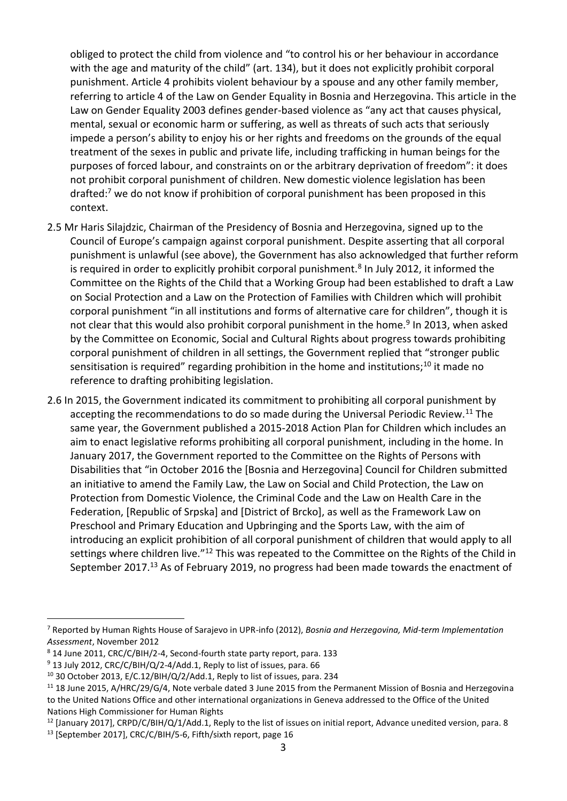obliged to protect the child from violence and "to control his or her behaviour in accordance with the age and maturity of the child" (art. 134), but it does not explicitly prohibit corporal punishment. Article 4 prohibits violent behaviour by a spouse and any other family member, referring to article 4 of the Law on Gender Equality in Bosnia and Herzegovina. This article in the Law on Gender Equality 2003 defines gender-based violence as "any act that causes physical, mental, sexual or economic harm or suffering, as well as threats of such acts that seriously impede a person's ability to enjoy his or her rights and freedoms on the grounds of the equal treatment of the sexes in public and private life, including trafficking in human beings for the purposes of forced labour, and constraints on or the arbitrary deprivation of freedom": it does not prohibit corporal punishment of children. New domestic violence legislation has been drafted:<sup>7</sup> we do not know if prohibition of corporal punishment has been proposed in this context.

- 2.5 Mr Haris Silajdzic, Chairman of the Presidency of Bosnia and Herzegovina, signed up to the Council of Europe's campaign against corporal punishment. Despite asserting that all corporal punishment is unlawful (see above), the Government has also acknowledged that further reform is required in order to explicitly prohibit corporal punishment.<sup>8</sup> In July 2012, it informed the Committee on the Rights of the Child that a Working Group had been established to draft a Law on Social Protection and a Law on the Protection of Families with Children which will prohibit corporal punishment "in all institutions and forms of alternative care for children", though it is not clear that this would also prohibit corporal punishment in the home.<sup>9</sup> In 2013, when asked by the Committee on Economic, Social and Cultural Rights about progress towards prohibiting corporal punishment of children in all settings, the Government replied that "stronger public sensitisation is required" regarding prohibition in the home and institutions;<sup>10</sup> it made no reference to drafting prohibiting legislation.
- 2.6 In 2015, the Government indicated its commitment to prohibiting all corporal punishment by accepting the recommendations to do so made during the Universal Periodic Review.<sup>11</sup> The same year, the Government published a 2015-2018 Action Plan for Children which includes an aim to enact legislative reforms prohibiting all corporal punishment, including in the home. In January 2017, the Government reported to the Committee on the Rights of Persons with Disabilities that "in October 2016 the [Bosnia and Herzegovina] Council for Children submitted an initiative to amend the Family Law, the Law on Social and Child Protection, the Law on Protection from Domestic Violence, the Criminal Code and the Law on Health Care in the Federation, [Republic of Srpska] and [District of Brcko], as well as the Framework Law on Preschool and Primary Education and Upbringing and the Sports Law, with the aim of introducing an explicit prohibition of all corporal punishment of children that would apply to all settings where children live."<sup>12</sup> This was repeated to the Committee on the Rights of the Child in September 2017.<sup>13</sup> As of February 2019, no progress had been made towards the enactment of

<sup>7</sup> Reported by Human Rights House of Sarajevo in UPR-info (2012), *Bosnia and Herzegovina, Mid-term Implementation Assessment*, November 2012

<sup>8</sup> 14 June 2011, CRC/C/BIH/2-4, Second-fourth state party report, para. 133

<sup>&</sup>lt;sup>9</sup> 13 July 2012, CRC/C/BIH/Q/2-4/Add.1, Reply to list of issues, para. 66

<sup>&</sup>lt;sup>10</sup> 30 October 2013, E/C.12/BIH/Q/2/Add.1, Reply to list of issues, para. 234

<sup>&</sup>lt;sup>11</sup> 18 June 2015, A/HRC/29/G/4, Note verbale dated 3 June 2015 from the Permanent Mission of Bosnia and Herzegovina to the United Nations Office and other international organizations in Geneva addressed to the Office of the United Nations High Commissioner for Human Rights

 $12$  [January 2017], CRPD/C/BIH/Q/1/Add.1, Reply to the list of issues on initial report, Advance unedited version, para. 8

<sup>13</sup> [September 2017], CRC/C/BIH/5-6, Fifth/sixth report, page 16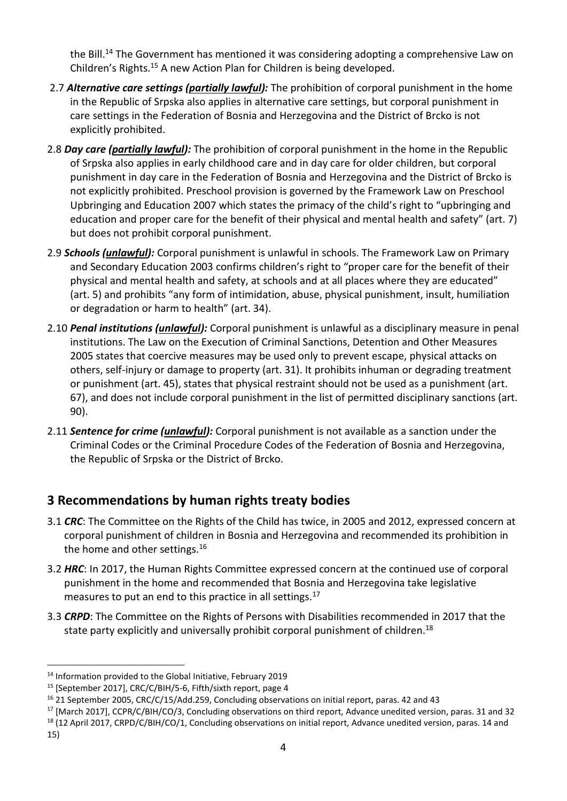the Bill.<sup>14</sup> The Government has mentioned it was considering adopting a comprehensive Law on Children's Rights.<sup>15</sup> A new Action Plan for Children is being developed.

- 2.7 *Alternative care settings (partially lawful):* The prohibition of corporal punishment in the home in the Republic of Srpska also applies in alternative care settings, but corporal punishment in care settings in the Federation of Bosnia and Herzegovina and the District of Brcko is not explicitly prohibited.
- 2.8 *Day care (partially lawful):* The prohibition of corporal punishment in the home in the Republic of Srpska also applies in early childhood care and in day care for older children, but corporal punishment in day care in the Federation of Bosnia and Herzegovina and the District of Brcko is not explicitly prohibited. Preschool provision is governed by the Framework Law on Preschool Upbringing and Education 2007 which states the primacy of the child's right to "upbringing and education and proper care for the benefit of their physical and mental health and safety" (art. 7) but does not prohibit corporal punishment.
- 2.9 *Schools (unlawful):* Corporal punishment is unlawful in schools. The Framework Law on Primary and Secondary Education 2003 confirms children's right to "proper care for the benefit of their physical and mental health and safety, at schools and at all places where they are educated" (art. 5) and prohibits "any form of intimidation, abuse, physical punishment, insult, humiliation or degradation or harm to health" (art. 34).
- 2.10 *Penal institutions (unlawful):* Corporal punishment is unlawful as a disciplinary measure in penal institutions. The Law on the Execution of Criminal Sanctions, Detention and Other Measures 2005 states that coercive measures may be used only to prevent escape, physical attacks on others, self-injury or damage to property (art. 31). It prohibits inhuman or degrading treatment or punishment (art. 45), states that physical restraint should not be used as a punishment (art. 67), and does not include corporal punishment in the list of permitted disciplinary sanctions (art. 90).
- 2.11 *Sentence for crime (unlawful):* Corporal punishment is not available as a sanction under the Criminal Codes or the Criminal Procedure Codes of the Federation of Bosnia and Herzegovina, the Republic of Srpska or the District of Brcko.

## **3 Recommendations by human rights treaty bodies**

- 3.1 *CRC*: The Committee on the Rights of the Child has twice, in 2005 and 2012, expressed concern at corporal punishment of children in Bosnia and Herzegovina and recommended its prohibition in the home and other settings.<sup>16</sup>
- 3.2 *HRC*: In 2017, the Human Rights Committee expressed concern at the continued use of corporal punishment in the home and recommended that Bosnia and Herzegovina take legislative measures to put an end to this practice in all settings.<sup>17</sup>
- 3.3 *CRPD*: The Committee on the Rights of Persons with Disabilities recommended in 2017 that the state party explicitly and universally prohibit corporal punishment of children.<sup>18</sup>

- <sup>17</sup> [March 2017], CCPR/C/BIH/CO/3, Concluding observations on third report, Advance unedited version, paras. 31 and 32
- <sup>18</sup> (12 April 2017, CRPD/C/BIH/CO/1, Concluding observations on initial report, Advance unedited version, paras. 14 and

<sup>14</sup> Information provided to the Global Initiative, February 2019

<sup>&</sup>lt;sup>15</sup> [September 2017], CRC/C/BIH/5-6, Fifth/sixth report, page 4

<sup>16</sup> 21 September 2005, CRC/C/15/Add.259, Concluding observations on initial report, paras. 42 and 43